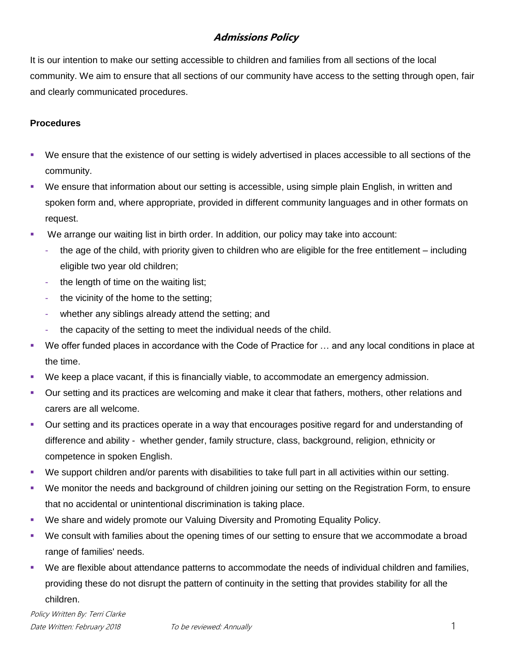## **Admissions Policy**

It is our intention to make our setting accessible to children and families from all sections of the local community. We aim to ensure that all sections of our community have access to the setting through open, fair and clearly communicated procedures.

## **Procedures**

- We ensure that the existence of our setting is widely advertised in places accessible to all sections of the community.
- We ensure that information about our setting is accessible, using simple plain English, in written and spoken form and, where appropriate, provided in different community languages and in other formats on request.
- We arrange our waiting list in birth order. In addition, our policy may take into account:
	- the age of the child, with priority given to children who are eligible for the free entitlement including eligible two year old children;
	- the length of time on the waiting list;
	- the vicinity of the home to the setting;
	- whether any siblings already attend the setting; and
	- the capacity of the setting to meet the individual needs of the child.
- We offer funded places in accordance with the Code of Practice for … and any local conditions in place at the time.
- We keep a place vacant, if this is financially viable, to accommodate an emergency admission.
- Our setting and its practices are welcoming and make it clear that fathers, mothers, other relations and carers are all welcome.
- Our setting and its practices operate in a way that encourages positive regard for and understanding of difference and ability - whether gender, family structure, class, background, religion, ethnicity or competence in spoken English.
- We support children and/or parents with disabilities to take full part in all activities within our setting.
- We monitor the needs and background of children joining our setting on the Registration Form, to ensure that no accidental or unintentional discrimination is taking place.
- We share and widely promote our Valuing Diversity and Promoting Equality Policy.
- We consult with families about the opening times of our setting to ensure that we accommodate a broad range of families' needs.
- We are flexible about attendance patterns to accommodate the needs of individual children and families, providing these do not disrupt the pattern of continuity in the setting that provides stability for all the children.